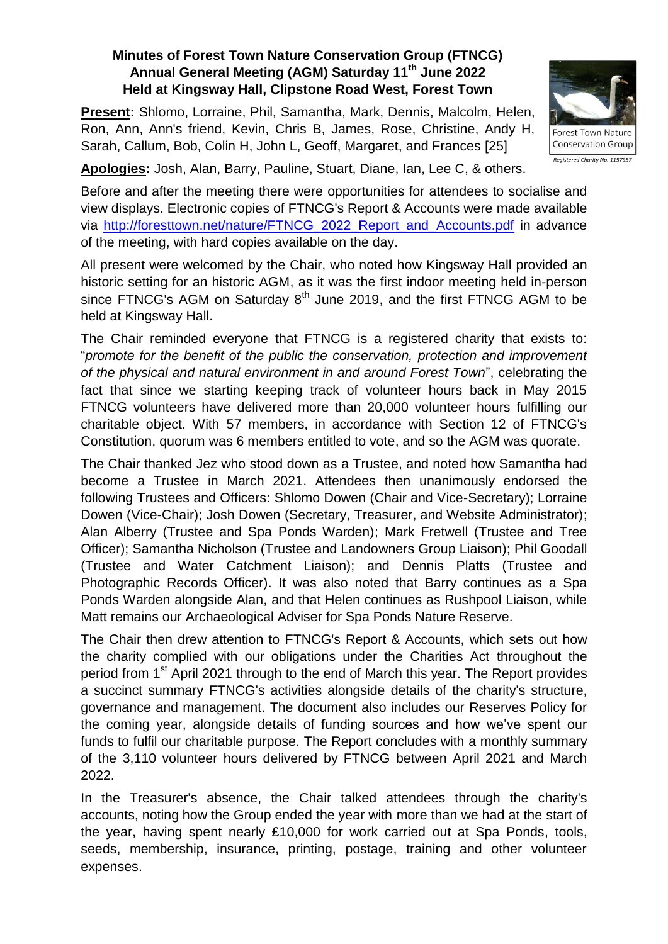## **Minutes of Forest Town Nature Conservation Group (FTNCG) Annual General Meeting (AGM) Saturday 11th June 2022 Held at Kingsway Hall, Clipstone Road West, Forest Town**

**Present:** Shlomo, Lorraine, Phil, Samantha, Mark, Dennis, Malcolm, Helen, Ron, Ann, Ann's friend, Kevin, Chris B, James, Rose, Christine, Andy H, Sarah, Callum, Bob, Colin H, John L, Geoff, Margaret, and Frances [25]



**Apologies:** Josh, Alan, Barry, Pauline, Stuart, Diane, Ian, Lee C, & others.

Before and after the meeting there were opportunities for attendees to socialise and view displays. Electronic copies of FTNCG's Report & Accounts were made available via [http://foresttown.net/nature/FTNCG\\_2022\\_Report\\_and\\_Accounts.pdf](http://foresttown.net/nature/FTNCG_2022_Report_and_Accounts.pdf) in advance of the meeting, with hard copies available on the day.

All present were welcomed by the Chair, who noted how Kingsway Hall provided an historic setting for an historic AGM, as it was the first indoor meeting held in-person since FTNCG's AGM on Saturday  $8<sup>th</sup>$  June 2019, and the first FTNCG AGM to be held at Kingsway Hall.

The Chair reminded everyone that FTNCG is a registered charity that exists to: "*promote for the benefit of the public the conservation, protection and improvement of the physical and natural environment in and around Forest Town*", celebrating the fact that since we starting keeping track of volunteer hours back in May 2015 FTNCG volunteers have delivered more than 20,000 volunteer hours fulfilling our charitable object. With 57 members, in accordance with Section 12 of FTNCG's Constitution, quorum was 6 members entitled to vote, and so the AGM was quorate.

The Chair thanked Jez who stood down as a Trustee, and noted how Samantha had become a Trustee in March 2021. Attendees then unanimously endorsed the following Trustees and Officers: Shlomo Dowen (Chair and Vice-Secretary); Lorraine Dowen (Vice-Chair); Josh Dowen (Secretary, Treasurer, and Website Administrator); Alan Alberry (Trustee and Spa Ponds Warden); Mark Fretwell (Trustee and Tree Officer); Samantha Nicholson (Trustee and Landowners Group Liaison); Phil Goodall (Trustee and Water Catchment Liaison); and Dennis Platts (Trustee and Photographic Records Officer). It was also noted that Barry continues as a Spa Ponds Warden alongside Alan, and that Helen continues as Rushpool Liaison, while Matt remains our Archaeological Adviser for Spa Ponds Nature Reserve.

The Chair then drew attention to FTNCG's Report & Accounts, which sets out how the charity complied with our obligations under the Charities Act throughout the period from 1<sup>st</sup> April 2021 through to the end of March this year. The Report provides a succinct summary FTNCG's activities alongside details of the charity's structure, governance and management. The document also includes our Reserves Policy for the coming year, alongside details of funding sources and how we've spent our funds to fulfil our charitable purpose. The Report concludes with a monthly summary of the 3,110 volunteer hours delivered by FTNCG between April 2021 and March 2022.

In the Treasurer's absence, the Chair talked attendees through the charity's accounts, noting how the Group ended the year with more than we had at the start of the year, having spent nearly £10,000 for work carried out at Spa Ponds, tools, seeds, membership, insurance, printing, postage, training and other volunteer expenses.